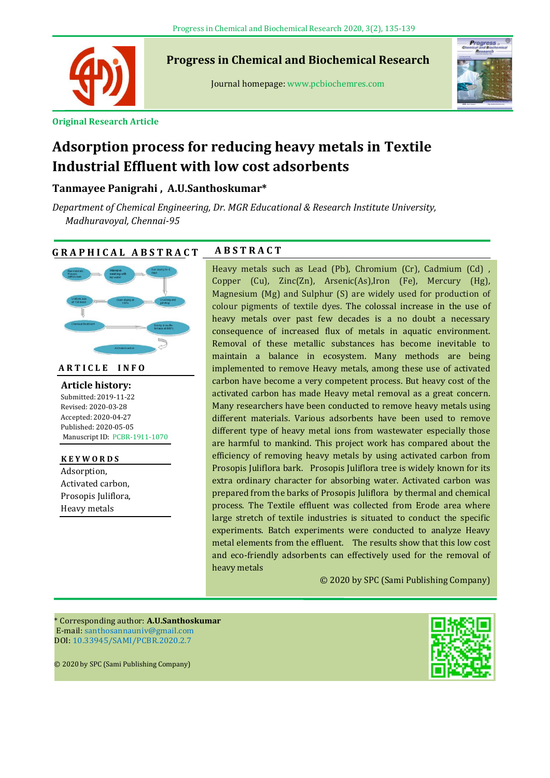

**Progress in Chemical and Biochemical Research**

Journal homepage: www.pcbiochemres.com



**Original Research Article**

# **Adsorption process for reducing heavy metals in Textile Industrial Effluent with low cost adsorbents**

# **Tanmayee Panigrahi , A.U.Santhoskumar\***

*Department of Chemical Engineering, Dr. MGR Educational & Research Institute University, Madhuravoyal, Chennai-95*

# **G R A P H I C A L A B S T R A C T A B S T R A C T**



**A R T I C L E I N F O**

**---** Revised: 2020-03-28 **Article history:** Submitted: 2019-11-22 Accepted: 2020-04-27 Published: 2020-05-05 Manuscript ID: PCBR-1911-1070

**K E Y W O R D S** Adsorption, Activated carbon, Prosopis Juliflora, Heavy metals

Heavy metals such as Lead (Pb), Chromium (Cr), Cadmium (Cd) , Copper (Cu), Zinc(Zn), Arsenic(As),Iron (Fe), Mercury (Hg), Magnesium (Mg) and Sulphur (S) are widely used for production of colour pigments of textile dyes. The colossal increase in the use of heavy metals over past few decades is a no doubt a necessary consequence of increased flux of metals in aquatic environment. Removal of these metallic substances has become inevitable to maintain a balance in ecosystem. Many methods are being implemented to remove Heavy metals, among these use of activated carbon have become a very competent process. But heavy cost of the activated carbon has made Heavy metal removal as a great concern. Many researchers have been conducted to remove heavy metals using different materials. Various adsorbents have been used to remove different type of heavy metal ions from wastewater especially those are harmful to mankind. This project work has compared about the efficiency of removing heavy metals by using activated carbon from Prosopis Juliflora bark. Prosopis Juliflora tree is widely known for its extra ordinary character for absorbing water. Activated carbon was prepared from the barks of Prosopis Juliflora by thermal and chemical process. The Textile effluent was collected from Erode area where

large stretch of textile industries is situated to conduct the specific experiments. Batch experiments were conducted to analyze Heavy metal elements from the effluent. The results show that this low cost and eco-friendly adsorbents can effectively used for the removal of heavy metals

© 2020 by SPC (Sami Publishing Company)

\* Corresponding author: **A.U.Santhoskumar** E-mail: [santhosannauniv@gmail.com](mailto:santhosannauniv@gmail.com) DOI: 10.33945/SAMI/PCBR.2020.2.7

© 2020 by SPC (Sami Publishing Company)

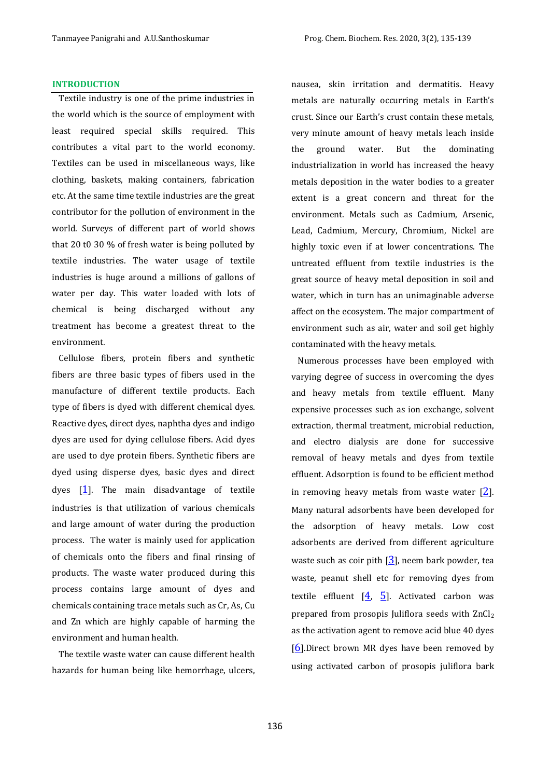#### **INTRODUCTION**

Textile industry is one of the prime industries in the world which is the source of employment with least required special skills required. This contributes a vital part to the world economy. Textiles can be used in miscellaneous ways, like clothing, baskets, making containers, fabrication etc. At the same time textile industries are the great contributor for the pollution of environment in the world. Surveys of different part of world shows that 20 t0 30 % of fresh water is being polluted by textile industries. The water usage of textile industries is huge around a millions of gallons of water per day. This water loaded with lots of chemical is being discharged without any treatment has become a greatest threat to the environment.

Cellulose fibers, protein fibers and synthetic fibers are three basic types of fibers used in the manufacture of different textile products. Each type of fibers is dyed with different chemical dyes. Reactive dyes, direct dyes, naphtha dyes and indigo dyes are used for dying cellulose fibers. Acid dyes are used to dye protein fibers. Synthetic fibers are dyed using disperse dyes, basic dyes and direct dyes  $[1]$  $[1]$  $[1]$ . The main disadvantage of textile industries is that utilization of various chemicals and large amount of water during the production process. The water is mainly used for application of chemicals onto the fibers and final rinsing of products. The waste water produced during this process contains large amount of dyes and chemicals containing trace metals such as Cr, As, Cu and Zn which are highly capable of harming the environment and human health.

The textile waste water can cause different health hazards for human being like hemorrhage, ulcers, nausea, skin irritation and dermatitis. Heavy metals are naturally occurring metals in Earth's crust. Since our Earth's crust contain these metals, very minute amount of heavy metals leach inside the ground water. But the dominating industrialization in world has increased the heavy metals deposition in the water bodies to a greater extent is a great concern and threat for the environment. Metals such as Cadmium, Arsenic, Lead, Cadmium, Mercury, Chromium, Nickel are highly toxic even if at lower concentrations. The untreated effluent from textile industries is the great source of heavy metal deposition in soil and water, which in turn has an unimaginable adverse affect on the ecosystem. The major compartment of environment such as air, water and soil get highly contaminated with the heavy metals.

Numerous processes have been employed with varying degree of success in overcoming the dyes and heavy metals from textile effluent. Many expensive processes such as ion exchange, solvent extraction, thermal treatment, microbial reduction, and electro dialysis are done for successive removal of heavy metals and dyes from textile effluent. Adsorption is found to be efficient method in removing heavy metals from waste water  $[2]$  $[2]$  $[2]$ . Many natural adsorbents have been developed for the adsorption of heavy metals. Low cost adsorbents are derived from different agriculture waste such as coir pith  $\left[\frac{3}{2}\right]$  $\left[\frac{3}{2}\right]$  $\left[\frac{3}{2}\right]$ , neem bark powder, tea waste, peanut shell etc for removing dyes from textile effluent  $[4, 5]$  $[4, 5]$  $[4, 5]$  $[4, 5]$  $[4, 5]$ . Activated carbon was prepared from prosopis Juliflora seeds with ZnCl<sup>2</sup> as the activation agent to remove acid blue 40 dyes  $[6]$  $[6]$  $[6]$ .Direct brown MR dyes have been removed by using activated carbon of prosopis juliflora bark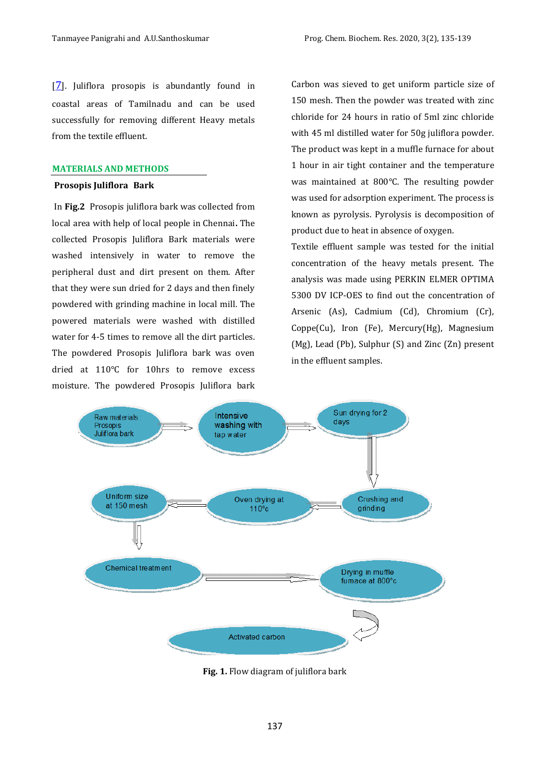$[7]$  $[7]$  $[7]$ . Juliflora prosopis is abundantly found in coastal areas of Tamilnadu and can be used successfully for removing different Heavy metals from the textile effluent.

#### **MATERIALS AND METHODS**

#### **Prosopis Juliflora Bark**

In **Fig.2** Prosopis juliflora bark was collected from local area with help of local people in Chennai**.** The collected Prosopis Juliflora Bark materials were washed intensively in water to remove the peripheral dust and dirt present on them. After that they were sun dried for 2 days and then finely powdered with grinding machine in local mill. The powered materials were washed with distilled water for 4-5 times to remove all the dirt particles. The powdered Prosopis Juliflora bark was oven dried at 110°C for 10hrs to remove excess moisture. The powdered Prosopis Juliflora bark Carbon was sieved to get uniform particle size of 150 mesh. Then the powder was treated with zinc chloride for 24 hours in ratio of 5ml zinc chloride with 45 ml distilled water for 50g juliflora powder. The product was kept in a muffle furnace for about 1 hour in air tight container and the temperature was maintained at 800°C. The resulting powder was used for adsorption experiment. The process is known as pyrolysis. Pyrolysis is decomposition of product due to heat in absence of oxygen.

Textile effluent sample was tested for the initial concentration of the heavy metals present. The analysis was made using PERKIN ELMER OPTIMA 5300 DV ICP-OES to find out the concentration of Arsenic (As), Cadmium (Cd), Chromium (Cr), Coppe(Cu), Iron (Fe), Mercury(Hg), Magnesium (Mg), Lead (Pb), Sulphur (S) and Zinc (Zn) present in the effluent samples.



**Fig. 1.** Flow diagram of juliflora bark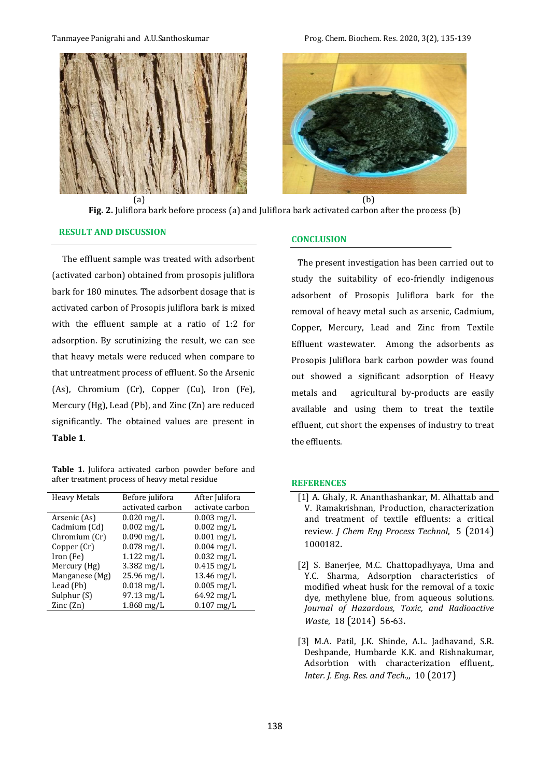



**Fig. 2.** Juliflora bark before process (a) and Juliflora bark activated carbon after the process (b)

### **RESULT AND DISCUSSION**

The effluent sample was treated with adsorbent (activated carbon) obtained from prosopis juliflora bark for 180 minutes. The adsorbent dosage that is activated carbon of Prosopis juliflora bark is mixed with the effluent sample at a ratio of 1:2 for adsorption. By scrutinizing the result, we can see that heavy metals were reduced when compare to that untreatment process of effluent. So the Arsenic (As), Chromium (Cr), Copper (Cu), Iron (Fe), Mercury (Hg), Lead (Pb), and Zinc (Zn) are reduced significantly. The obtained values are present in **Table 1**.

**Table 1.** Julifora activated carbon powder before and after treatment process of heavy metal residue

| <b>Heavy Metals</b>      | Before julifora         | After Julifora          |
|--------------------------|-------------------------|-------------------------|
|                          | activated carbon        | activate carbon         |
| Arsenic (As)             | $0.020$ mg/L            | $0.003$ mg/L            |
| Cadmium (Cd)             | $0.002$ mg/L            | $0.002 \,\mathrm{mg/L}$ |
| Chromium (Cr)            | $0.090$ mg/L            | $0.001$ mg/L            |
| Copper (Cr)              | $0.078$ mg/L            | $0.004$ mg/L            |
| Iron (Fe)                | $1.122 \text{ mg/L}$    | $0.032 \,\mathrm{mg/L}$ |
| Mercury (Hg)             | $3.382 \,\mathrm{mg/L}$ | $0.415$ mg/L            |
| Manganese (Mg)           | 25.96 mg/L              | $13.46 \text{ mg/L}$    |
| Lead (Pb)                | $0.018$ mg/L            | $0.005$ mg/L            |
| Sulphur (S)              | 97.13 mg/L              | $64.92 \,\mathrm{mg/L}$ |
| $\text{Zinc}(\text{Zn})$ | $1.868 \,\mathrm{mg/L}$ | $0.107$ mg/L            |

#### **CONCLUSION**

The present investigation has been carried out to study the suitability of eco-friendly indigenous adsorbent of Prosopis Juliflora bark for the removal of heavy metal such as arsenic, Cadmium, Copper, Mercury, Lead and Zinc from Textile Effluent wastewater. Among the adsorbents as Prosopis Juliflora bark carbon powder was found out showed a significant adsorption of Heavy metals and agricultural by-products are easily available and using them to treat the textile effluent, cut short the expenses of industry to treat the effluents.

#### **REFERENCES**

- <span id="page-3-0"></span>[1] A. Ghaly, R. Ananthashankar, M. Alhattab and V. Ramakrishnan, Production, characterization and treatment of textile effluents: a critical review*. J Chem Eng Process Technol*, 5 (2014) 1000182.
- <span id="page-3-1"></span>[2] S. Banerjee, M.C. Chattopadhyaya, Uma and Y.C. Sharma, Adsorption characteristics of modified wheat husk for the removal of a toxic dye, methylene blue, from aqueous solutions*. Journal of Hazardous, Toxic, and Radioactive Waste*, 18 (2014) 56-63.
- <span id="page-3-2"></span>[3] M.A. Patil, J.K. Shinde, A.L. Jadhavand, S.R. Deshpande, Humbarde K.K. and Rishnakumar, Adsorbtion with characterization effluent,*. Inter. J. Eng. Res. and Tech.,*, 10 (2017)